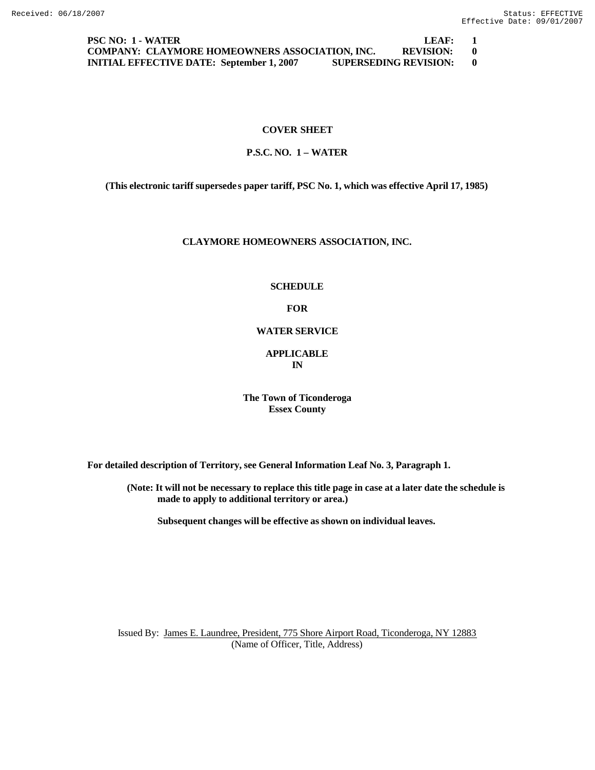**PSC NO: 1 - WATER LEAF: 1 COMPANY: CLAYMORE HOMEOWNERS ASSOCIATION, INC. REVISION: 0 INITIAL EFFECTIVE DATE: September 1, 2007 SUPERSEDING REVISION: 0**

## **COVER SHEET**

## **P.S.C. NO. 1 – WATER**

**(This electronic tariff supersedes paper tariff, PSC No. 1, which was effective April 17, 1985)**

### **CLAYMORE HOMEOWNERS ASSOCIATION, INC.**

#### **SCHEDULE**

**FOR**

### **WATER SERVICE**

### **APPLICABLE IN**

**The Town of Ticonderoga Essex County**

**For detailed description of Territory, see General Information Leaf No. 3, Paragraph 1.**

**(Note: It will not be necessary to replace this title page in case at a later date the schedule is made to apply to additional territory or area.)**

**Subsequent changes will be effective as shown on individual leaves.**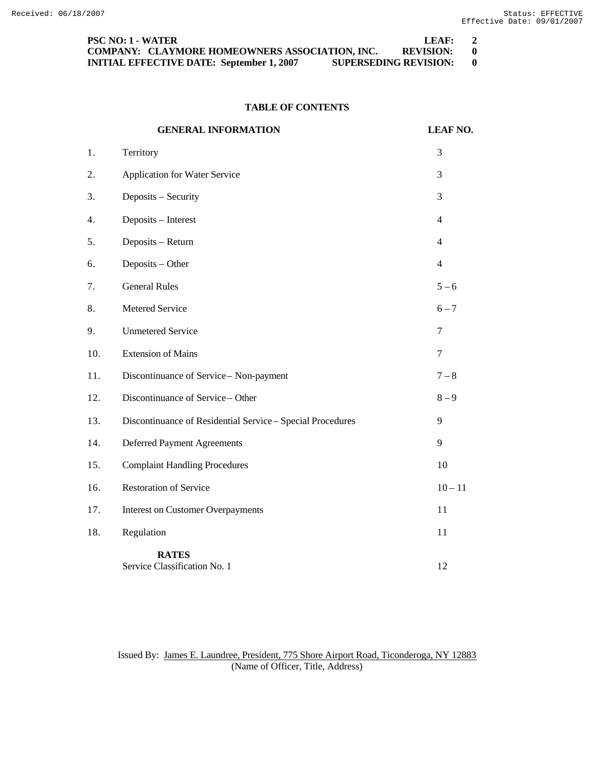| <b>PSC NO: 1 - WATER</b>                                                         | LEAF:            | <sup>2</sup> |
|----------------------------------------------------------------------------------|------------------|--------------|
| COMPANY: CLAYMORE HOMEOWNERS ASSOCIATION, INC.                                   | <b>REVISION:</b> |              |
| <b>SUPERSEDING REVISION:</b><br><b>INITIAL EFFECTIVE DATE: September 1, 2007</b> |                  |              |

# **TABLE OF CONTENTS**

|     | <b>GENERAL INFORMATION</b>                                 | <b>LEAF NO.</b> |
|-----|------------------------------------------------------------|-----------------|
| 1.  | Territory                                                  | 3               |
| 2.  | Application for Water Service                              | 3               |
| 3.  | Deposits - Security                                        | 3               |
| 4.  | Deposits - Interest                                        | $\overline{4}$  |
| 5.  | Deposits - Return                                          | $\overline{4}$  |
| 6.  | Deposits - Other                                           | $\overline{4}$  |
| 7.  | <b>General Rules</b>                                       | $5 - 6$         |
| 8.  | Metered Service                                            | $6 - 7$         |
| 9.  | <b>Unmetered Service</b>                                   | 7               |
| 10. | <b>Extension of Mains</b>                                  | $\tau$          |
| 11. | Discontinuance of Service - Non-payment                    | $7 - 8$         |
| 12. | Discontinuance of Service - Other                          | $8 - 9$         |
| 13. | Discontinuance of Residential Service - Special Procedures | 9               |
| 14. | <b>Deferred Payment Agreements</b>                         | 9               |
| 15. | <b>Complaint Handling Procedures</b>                       | 10              |
| 16. | <b>Restoration of Service</b>                              | $10 - 11$       |
| 17. | <b>Interest on Customer Overpayments</b>                   | 11              |
| 18. | Regulation                                                 | 11              |
|     | <b>RATES</b><br>Service Classification No. 1               | 12              |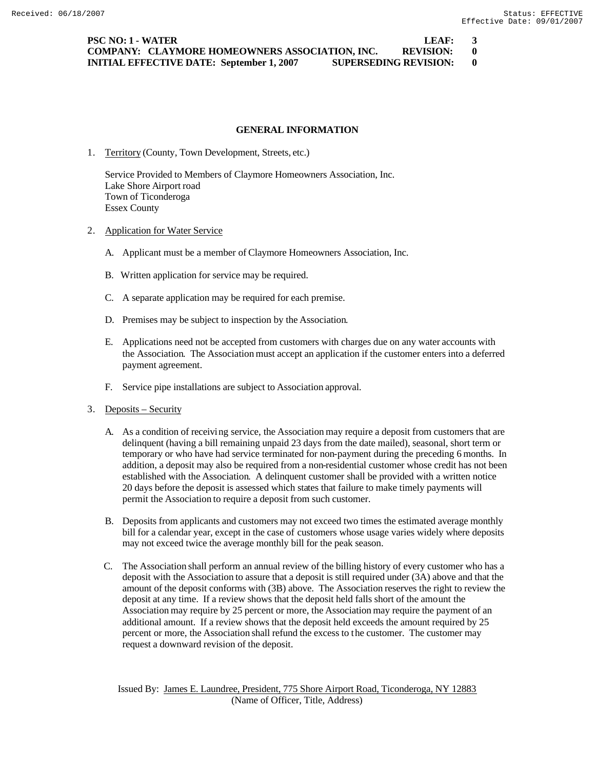**PSC NO: 1 - WATER LEAF: 3 COMPANY: CLAYMORE HOMEOWNERS ASSOCIATION, INC. REVISION: 0 INITIAL EFFECTIVE DATE: September 1, 2007 SUPERSEDING REVISION: 0**

### **GENERAL INFORMATION**

1. Territory (County, Town Development, Streets, etc.)

Service Provided to Members of Claymore Homeowners Association, Inc. Lake Shore Airport road Town of Ticonderoga Essex County

- 2. Application for Water Service
	- A. Applicant must be a member of Claymore Homeowners Association, Inc.
	- B. Written application for service may be required.
	- C. A separate application may be required for each premise.
	- D. Premises may be subject to inspection by the Association.
	- E. Applications need not be accepted from customers with charges due on any water accounts with the Association. The Association must accept an application if the customer enters into a deferred payment agreement.
	- F. Service pipe installations are subject to Association approval.
- 3. Deposits Security
	- A. As a condition of receiving service, the Association may require a deposit from customers that are delinquent (having a bill remaining unpaid 23 days from the date mailed), seasonal, short term or temporary or who have had service terminated for non-payment during the preceding 6 months. In addition, a deposit may also be required from a non-residential customer whose credit has not been established with the Association. A delinquent customer shall be provided with a written notice 20 days before the deposit is assessed which states that failure to make timely payments will permit the Association to require a deposit from such customer.
	- B. Deposits from applicants and customers may not exceed two times the estimated average monthly bill for a calendar year, except in the case of customers whose usage varies widely where deposits may not exceed twice the average monthly bill for the peak season.
	- C. The Association shall perform an annual review of the billing history of every customer who has a deposit with the Association to assure that a deposit is still required under (3A) above and that the amount of the deposit conforms with (3B) above. The Association reserves the right to review the deposit at any time. If a review shows that the deposit held falls short of the amount the Association may require by 25 percent or more, the Association may require the payment of an additional amount. If a review shows that the deposit held exceeds the amount required by 25 percent or more, the Association shall refund the excess to the customer. The customer may request a downward revision of the deposit.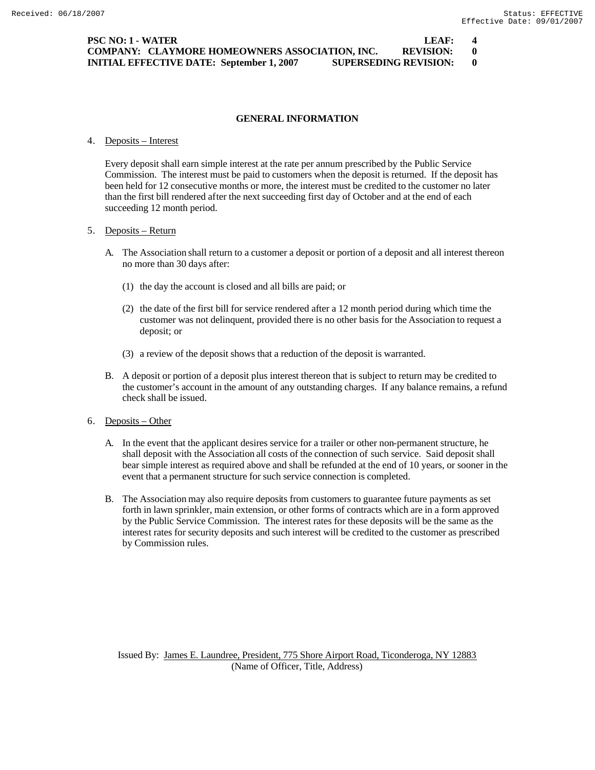| <b>PSC NO: 1 - WATER</b>                                                         | LEAF:            | $\boldsymbol{4}$ |
|----------------------------------------------------------------------------------|------------------|------------------|
| <b>COMPANY: CLAYMORE HOMEOWNERS ASSOCIATION, INC.</b>                            | <b>REVISION:</b> | - 0              |
| <b>SUPERSEDING REVISION:</b><br><b>INITIAL EFFECTIVE DATE: September 1, 2007</b> |                  | $\mathbf{0}$     |

### **GENERAL INFORMATION**

#### 4. Deposits – Interest

Every deposit shall earn simple interest at the rate per annum prescribed by the Public Service Commission. The interest must be paid to customers when the deposit is returned. If the deposit has been held for 12 consecutive months or more, the interest must be credited to the customer no later than the first bill rendered after the next succeeding first day of October and at the end of each succeeding 12 month period.

### 5. Deposits – Return

- A. The Association shall return to a customer a deposit or portion of a deposit and all interest thereon no more than 30 days after:
	- (1) the day the account is closed and all bills are paid; or
	- (2) the date of the first bill for service rendered after a 12 month period during which time the customer was not delinquent, provided there is no other basis for the Association to request a deposit; or
	- (3) a review of the deposit shows that a reduction of the deposit is warranted.
- B. A deposit or portion of a deposit plus interest thereon that is subject to return may be credited to the customer's account in the amount of any outstanding charges. If any balance remains, a refund check shall be issued.

#### 6. Deposits – Other

- A. In the event that the applicant desires service for a trailer or other non-permanent structure, he shall deposit with the Association all costs of the connection of such service. Said deposit shall bear simple interest as required above and shall be refunded at the end of 10 years, or sooner in the event that a permanent structure for such service connection is completed.
- B. The Association may also require deposits from customers to guarantee future payments as set forth in lawn sprinkler, main extension, or other forms of contracts which are in a form approved by the Public Service Commission. The interest rates for these deposits will be the same as the interest rates for security deposits and such interest will be credited to the customer as prescribed by Commission rules.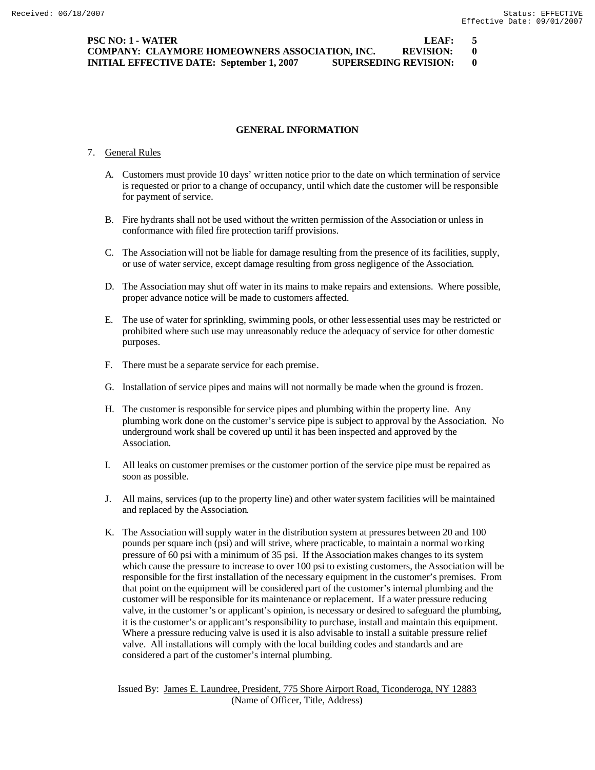**PSC NO: 1 - WATER LEAF: 5 COMPANY: CLAYMORE HOMEOWNERS ASSOCIATION, INC. REVISION: 0 INITIAL EFFECTIVE DATE: September 1, 2007 SUPERSEDING REVISION: 0**

### **GENERAL INFORMATION**

#### 7. General Rules

- A. Customers must provide 10 days' written notice prior to the date on which termination of service is requested or prior to a change of occupancy, until which date the customer will be responsible for payment of service.
- B. Fire hydrants shall not be used without the written permission of the Association or unless in conformance with filed fire protection tariff provisions.
- C. The Association will not be liable for damage resulting from the presence of its facilities, supply, or use of water service, except damage resulting from gross negligence of the Association.
- D. The Association may shut off water in its mains to make repairs and extensions. Where possible, proper advance notice will be made to customers affected.
- E. The use of water for sprinkling, swimming pools, or other less essential uses may be restricted or prohibited where such use may unreasonably reduce the adequacy of service for other domestic purposes.
- F. There must be a separate service for each premise.
- G. Installation of service pipes and mains will not normally be made when the ground is frozen.
- H. The customer is responsible for service pipes and plumbing within the property line. Any plumbing work done on the customer's service pipe is subject to approval by the Association. No underground work shall be covered up until it has been inspected and approved by the Association.
- I. All leaks on customer premises or the customer portion of the service pipe must be repaired as soon as possible.
- J. All mains, services (up to the property line) and other water system facilities will be maintained and replaced by the Association.
- K. The Association will supply water in the distribution system at pressures between 20 and 100 pounds per square inch (psi) and will strive, where practicable, to maintain a normal working pressure of 60 psi with a minimum of 35 psi. If the Association makes changes to its system which cause the pressure to increase to over 100 psi to existing customers, the Association will be responsible for the first installation of the necessary equipment in the customer's premises. From that point on the equipment will be considered part of the customer's internal plumbing and the customer will be responsible for its maintenance or replacement. If a water pressure reducing valve, in the customer's or applicant's opinion, is necessary or desired to safeguard the plumbing, it is the customer's or applicant's responsibility to purchase, install and maintain this equipment. Where a pressure reducing valve is used it is also advisable to install a suitable pressure relief valve. All installations will comply with the local building codes and standards and are considered a part of the customer's internal plumbing.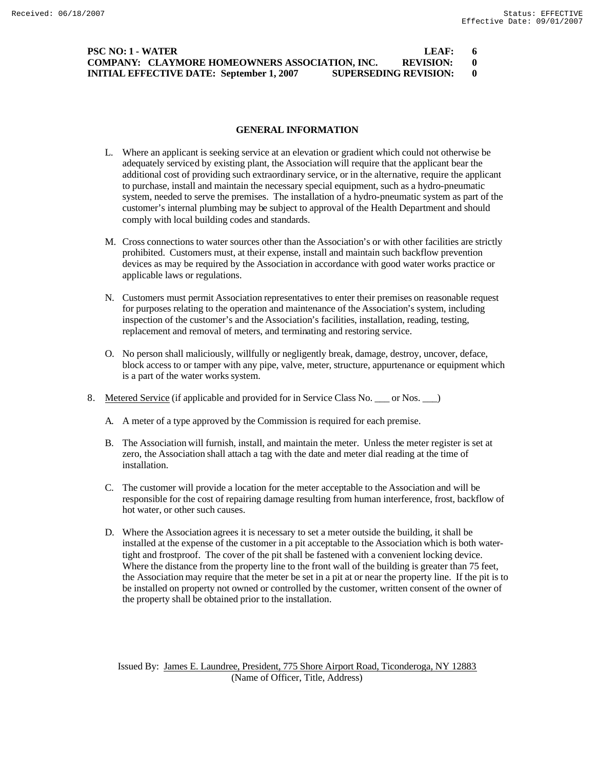## **PSC NO: 1 - WATER LEAF: 6 COMPANY: CLAYMORE HOMEOWNERS ASSOCIATION, INC. REVISION: 0 INITIAL EFFECTIVE DATE: September 1, 2007 SUPERSEDING REVISION: 0**

### **GENERAL INFORMATION**

- L. Where an applicant is seeking service at an elevation or gradient which could not otherwise be adequately serviced by existing plant, the Association will require that the applicant bear the additional cost of providing such extraordinary service, or in the alternative, require the applicant to purchase, install and maintain the necessary special equipment, such as a hydro-pneumatic system, needed to serve the premises. The installation of a hydro-pneumatic system as part of the customer's internal plumbing may be subject to approval of the Health Department and should comply with local building codes and standards.
- M. Cross connections to water sources other than the Association's or with other facilities are strictly prohibited. Customers must, at their expense, install and maintain such backflow prevention devices as may be required by the Association in accordance with good water works practice or applicable laws or regulations.
- N. Customers must permit Association representatives to enter their premises on reasonable request for purposes relating to the operation and maintenance of the Association's system, including inspection of the customer's and the Association's facilities, installation, reading, testing, replacement and removal of meters, and terminating and restoring service.
- O. No person shall maliciously, willfully or negligently break, damage, destroy, uncover, deface, block access to or tamper with any pipe, valve, meter, structure, appurtenance or equipment which is a part of the water works system.
- 8. Metered Service (if applicable and provided for in Service Class No. \_\_\_ or Nos. \_\_\_)
	- A. A meter of a type approved by the Commission is required for each premise.
	- B. The Association will furnish, install, and maintain the meter. Unless the meter register is set at zero, the Association shall attach a tag with the date and meter dial reading at the time of installation.
	- C. The customer will provide a location for the meter acceptable to the Association and will be responsible for the cost of repairing damage resulting from human interference, frost, backflow of hot water, or other such causes.
	- D. Where the Association agrees it is necessary to set a meter outside the building, it shall be installed at the expense of the customer in a pit acceptable to the Association which is both watertight and frostproof. The cover of the pit shall be fastened with a convenient locking device. Where the distance from the property line to the front wall of the building is greater than 75 feet, the Association may require that the meter be set in a pit at or near the property line. If the pit is to be installed on property not owned or controlled by the customer, written consent of the owner of the property shall be obtained prior to the installation.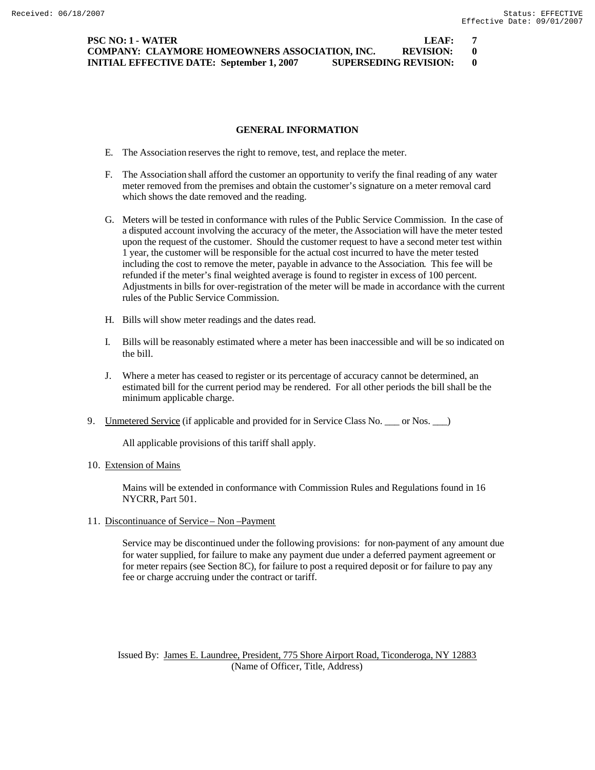**PSC NO: 1 - WATER LEAF: 7 COMPANY: CLAYMORE HOMEOWNERS ASSOCIATION, INC. REVISION: 0 INITIAL EFFECTIVE DATE: September 1, 2007 SUPERSEDING REVISION: 0**

### **GENERAL INFORMATION**

- E. The Association reserves the right to remove, test, and replace the meter.
- F. The Association shall afford the customer an opportunity to verify the final reading of any water meter removed from the premises and obtain the customer's signature on a meter removal card which shows the date removed and the reading.
- G. Meters will be tested in conformance with rules of the Public Service Commission. In the case of a disputed account involving the accuracy of the meter, the Association will have the meter tested upon the request of the customer. Should the customer request to have a second meter test within 1 year, the customer will be responsible for the actual cost incurred to have the meter tested including the cost to remove the meter, payable in advance to the Association. This fee will be refunded if the meter's final weighted average is found to register in excess of 100 percent. Adjustments in bills for over-registration of the meter will be made in accordance with the current rules of the Public Service Commission.
- H. Bills will show meter readings and the dates read.
- I. Bills will be reasonably estimated where a meter has been inaccessible and will be so indicated on the bill.
- J. Where a meter has ceased to register or its percentage of accuracy cannot be determined, an estimated bill for the current period may be rendered. For all other periods the bill shall be the minimum applicable charge.
- 9. Unmetered Service (if applicable and provided for in Service Class No. \_\_\_ or Nos. \_\_\_)

All applicable provisions of this tariff shall apply.

10. Extension of Mains

Mains will be extended in conformance with Commission Rules and Regulations found in 16 NYCRR, Part 501.

11. Discontinuance of Service – Non –Payment

Service may be discontinued under the following provisions: for non-payment of any amount due for water supplied, for failure to make any payment due under a deferred payment agreement or for meter repairs (see Section 8C), for failure to post a required deposit or for failure to pay any fee or charge accruing under the contract or tariff.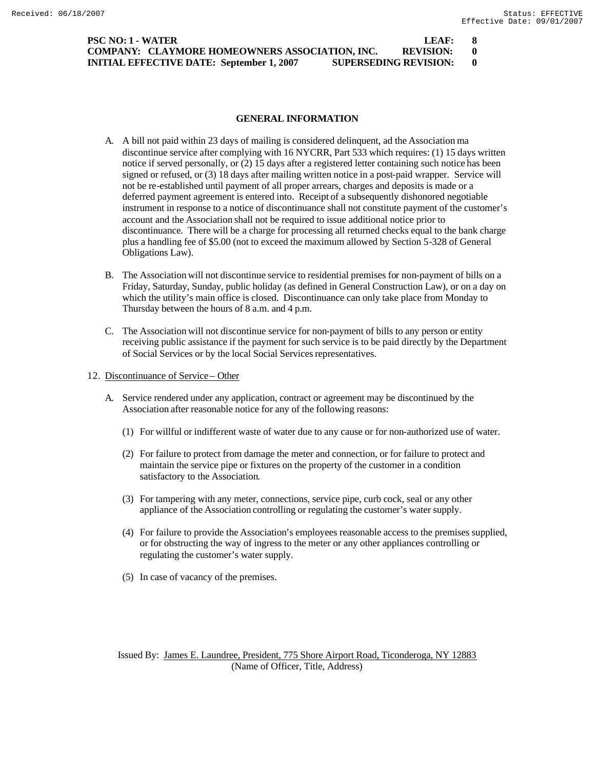| <b>PSC NO: 1 - WATER</b>                                                         | LEAF:            |  |
|----------------------------------------------------------------------------------|------------------|--|
| COMPANY: CLAYMORE HOMEOWNERS ASSOCIATION, INC.                                   | <b>REVISION:</b> |  |
| <b>SUPERSEDING REVISION:</b><br><b>INITIAL EFFECTIVE DATE: September 1, 2007</b> |                  |  |

### **GENERAL INFORMATION**

- A. A bill not paid within 23 days of mailing is considered delinquent, ad the Association ma discontinue service after complying with 16 NYCRR, Part 533 which requires: (1) 15 days written notice if served personally, or (2) 15 days after a registered letter containing such notice has been signed or refused, or (3) 18 days after mailing written notice in a post-paid wrapper. Service will not be re-established until payment of all proper arrears, charges and deposits is made or a deferred payment agreement is entered into. Receipt of a subsequently dishonored negotiable instrument in response to a notice of discontinuance shall not constitute payment of the customer's account and the Association shall not be required to issue additional notice prior to discontinuance. There will be a charge for processing all returned checks equal to the bank charge plus a handling fee of \$5.00 (not to exceed the maximum allowed by Section 5-328 of General Obligations Law).
- B. The Association will not discontinue service to residential premises for non-payment of bills on a Friday, Saturday, Sunday, public holiday (as defined in General Construction Law), or on a day on which the utility's main office is closed. Discontinuance can only take place from Monday to Thursday between the hours of 8 a.m. and 4 p.m.
- C. The Association will not discontinue service for non-payment of bills to any person or entity receiving public assistance if the payment for such service is to be paid directly by the Department of Social Services or by the local Social Services representatives.
- 12. Discontinuance of Service Other
	- A. Service rendered under any application, contract or agreement may be discontinued by the Association after reasonable notice for any of the following reasons:
		- (1) For willful or indifferent waste of water due to any cause or for non-authorized use of water.
		- (2) For failure to protect from damage the meter and connection, or for failure to protect and maintain the service pipe or fixtures on the property of the customer in a condition satisfactory to the Association.
		- (3) For tampering with any meter, connections, service pipe, curb cock, seal or any other appliance of the Association controlling or regulating the customer's water supply.
		- (4) For failure to provide the Association's employees reasonable access to the premises supplied, or for obstructing the way of ingress to the meter or any other appliances controlling or regulating the customer's water supply.
		- (5) In case of vacancy of the premises.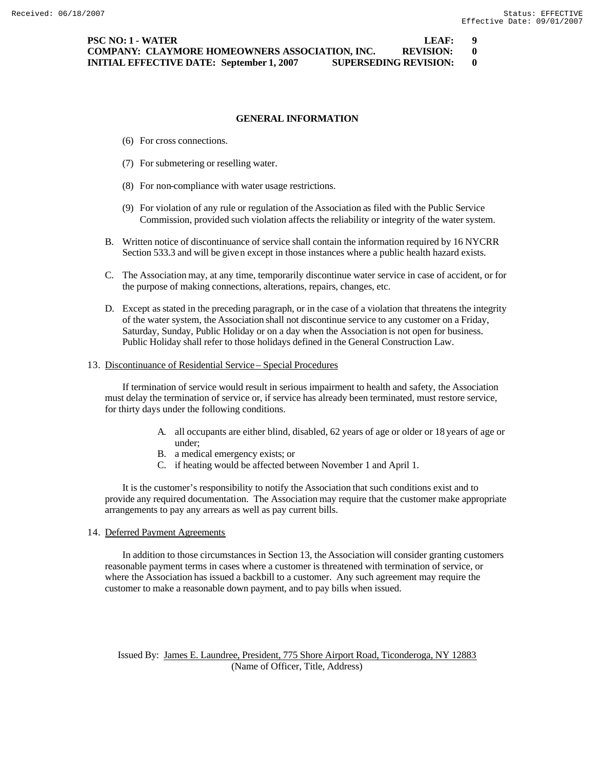## **GENERAL INFORMATION**

- (6) For cross connections.
- (7) For submetering or reselling water.
- (8) For non-compliance with water usage restrictions.
- (9) For violation of any rule or regulation of the Association as filed with the Public Service Commission, provided such violation affects the reliability or integrity of the water system.
- B. Written notice of discontinuance of service shall contain the information required by 16 NYCRR Section 533.3 and will be given except in those instances where a public health hazard exists.
- C. The Association may, at any time, temporarily discontinue water service in case of accident, or for the purpose of making connections, alterations, repairs, changes, etc.
- D. Except as stated in the preceding paragraph, or in the case of a violation that threatens the integrity of the water system, the Association shall not discontinue service to any customer on a Friday, Saturday, Sunday, Public Holiday or on a day when the Association is not open for business. Public Holiday shall refer to those holidays defined in the General Construction Law.

### 13. Discontinuance of Residential Service – Special Procedures

If termination of service would result in serious impairment to health and safety, the Association must delay the termination of service or, if service has already been terminated, must restore service, for thirty days under the following conditions.

- A. all occupants are either blind, disabled, 62 years of age or older or 18 years of age or under;
- B. a medical emergency exists; or
- C. if heating would be affected between November 1 and April 1.

It is the customer's responsibility to notify the Association that such conditions exist and to provide any required documentation. The Association may require that the customer make appropriate arrangements to pay any arrears as well as pay current bills.

14. Deferred Payment Agreements

In addition to those circumstances in Section 13, the Association will consider granting customers reasonable payment terms in cases where a customer is threatened with termination of service, or where the Association has issued a backbill to a customer. Any such agreement may require the customer to make a reasonable down payment, and to pay bills when issued.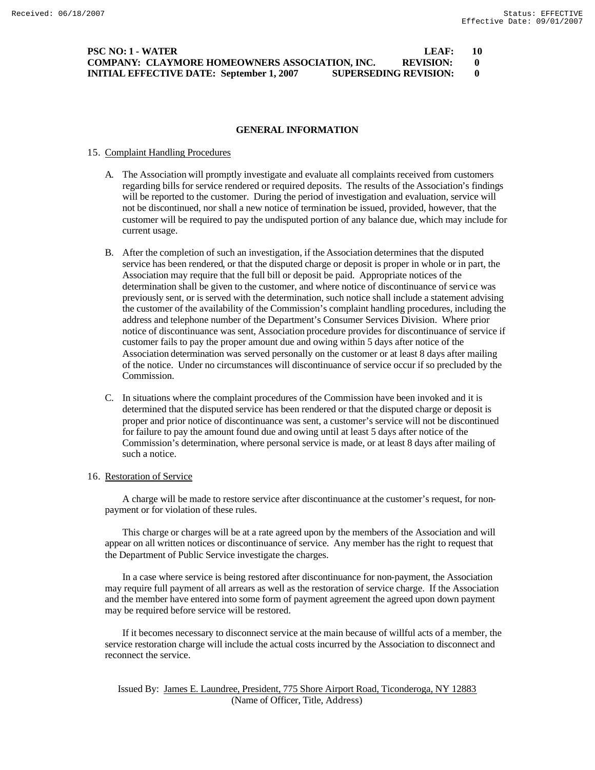## **PSC NO: 1 - WATER LEAF: 10 COMPANY: CLAYMORE HOMEOWNERS ASSOCIATION, INC. REVISION: 0 INITIAL EFFECTIVE DATE: September 1, 2007 SUPERSEDING REVISION: 0**

### **GENERAL INFORMATION**

### 15. Complaint Handling Procedures

- A. The Association will promptly investigate and evaluate all complaints received from customers regarding bills for service rendered or required deposits. The results of the Association's findings will be reported to the customer. During the period of investigation and evaluation, service will not be discontinued, nor shall a new notice of termination be issued, provided, however, that the customer will be required to pay the undisputed portion of any balance due, which may include for current usage.
- B. After the completion of such an investigation, if the Association determines that the disputed service has been rendered, or that the disputed charge or deposit is proper in whole or in part, the Association may require that the full bill or deposit be paid. Appropriate notices of the determination shall be given to the customer, and where notice of discontinuance of service was previously sent, or is served with the determination, such notice shall include a statement advising the customer of the availability of the Commission's complaint handling procedures, including the address and telephone number of the Department's Consumer Services Division. Where prior notice of discontinuance was sent, Association procedure provides for discontinuance of service if customer fails to pay the proper amount due and owing within 5 days after notice of the Association determination was served personally on the customer or at least 8 days after mailing of the notice. Under no circumstances will discontinuance of service occur if so precluded by the Commission.
- C. In situations where the complaint procedures of the Commission have been invoked and it is determined that the disputed service has been rendered or that the disputed charge or deposit is proper and prior notice of discontinuance was sent, a customer's service will not be discontinued for failure to pay the amount found due and owing until at least 5 days after notice of the Commission's determination, where personal service is made, or at least 8 days after mailing of such a notice.

### 16. Restoration of Service

A charge will be made to restore service after discontinuance at the customer's request, for nonpayment or for violation of these rules.

This charge or charges will be at a rate agreed upon by the members of the Association and will appear on all written notices or discontinuance of service. Any member has the right to request that the Department of Public Service investigate the charges.

In a case where service is being restored after discontinuance for non-payment, the Association may require full payment of all arrears as well as the restoration of service charge. If the Association and the member have entered into some form of payment agreement the agreed upon down payment may be required before service will be restored.

If it becomes necessary to disconnect service at the main because of willful acts of a member, the service restoration charge will include the actual costs incurred by the Association to disconnect and reconnect the service.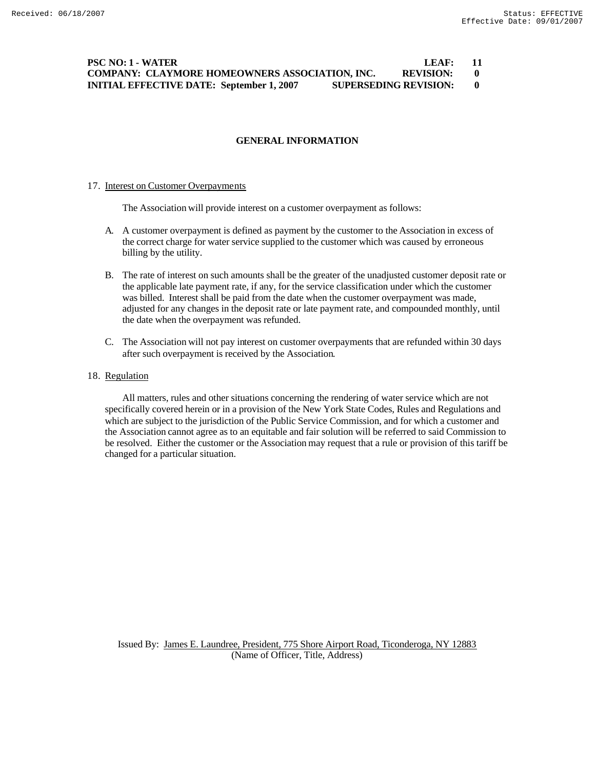# **PSC NO: 1 - WATER LEAF: 11 COMPANY: CLAYMORE HOMEOWNERS ASSOCIATION, INC. REVISION: 0 INITIAL EFFECTIVE DATE: September 1, 2007 SUPERSEDING REVISION: 0**

## **GENERAL INFORMATION**

#### 17. Interest on Customer Overpayments

The Association will provide interest on a customer overpayment as follows:

- A. A customer overpayment is defined as payment by the customer to the Association in excess of the correct charge for water service supplied to the customer which was caused by erroneous billing by the utility.
- B. The rate of interest on such amounts shall be the greater of the unadjusted customer deposit rate or the applicable late payment rate, if any, for the service classification under which the customer was billed. Interest shall be paid from the date when the customer overpayment was made, adjusted for any changes in the deposit rate or late payment rate, and compounded monthly, until the date when the overpayment was refunded.
- C. The Association will not pay interest on customer overpayments that are refunded within 30 days after such overpayment is received by the Association.

## 18. Regulation

All matters, rules and other situations concerning the rendering of water service which are not specifically covered herein or in a provision of the New York State Codes, Rules and Regulations and which are subject to the jurisdiction of the Public Service Commission, and for which a customer and the Association cannot agree as to an equitable and fair solution will be referred to said Commission to be resolved. Either the customer or the Association may request that a rule or provision of this tariff be changed for a particular situation.